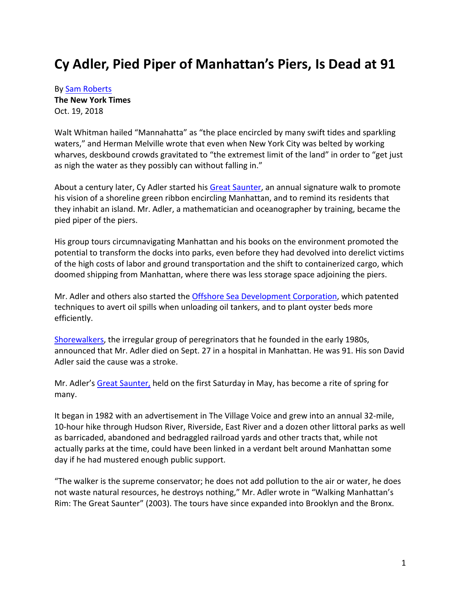## **Cy Adler, Pied Piper of Manhattan's Piers, Is Dead at 91**

By Sam Roberts **The New York Times** Oct. 19, 2018

Walt Whitman hailed "Mannahatta" as "the place encircled by many swift tides and sparkling waters," and Herman Melville wrote that even when New York City was belted by working wharves, deskbound crowds gravitated to "the extremest limit of the land" in order to "get just as nigh the water as they possibly can without falling in."

About a century later, Cy Adler started his Great Saunter, an annual signature walk to promote his vision of a shoreline green ribbon encircling Manhattan, and to remind its residents that they inhabit an island. Mr. Adler, a mathematician and oceanographer by training, became the pied piper of the piers.

His group tours circumnavigating Manhattan and his books on the environment promoted the potential to transform the docks into parks, even before they had devolved into derelict victims of the high costs of labor and ground transportation and the shift to containerized cargo, which doomed shipping from Manhattan, where there was less storage space adjoining the piers.

Mr. Adler and others also started the Offshore Sea Development Corporation, which patented techniques to avert oil spills when unloading oil tankers, and to plant oyster beds more efficiently.

Shorewalkers, the irregular group of peregrinators that he founded in the early 1980s, announced that Mr. Adler died on Sept. 27 in a hospital in Manhattan. He was 91. His son David Adler said the cause was a stroke.

Mr. Adler's Great Saunter, held on the first Saturday in May, has become a rite of spring for many.

It began in 1982 with an advertisement in The Village Voice and grew into an annual 32-mile, 10-hour hike through Hudson River, Riverside, East River and a dozen other littoral parks as well as barricaded, abandoned and bedraggled railroad yards and other tracts that, while not actually parks at the time, could have been linked in a verdant belt around Manhattan some day if he had mustered enough public support.

"The walker is the supreme conservator; he does not add pollution to the air or water, he does not waste natural resources, he destroys nothing," Mr. Adler wrote in "Walking Manhattan's Rim: The Great Saunter" (2003). The tours have since expanded into Brooklyn and the Bronx.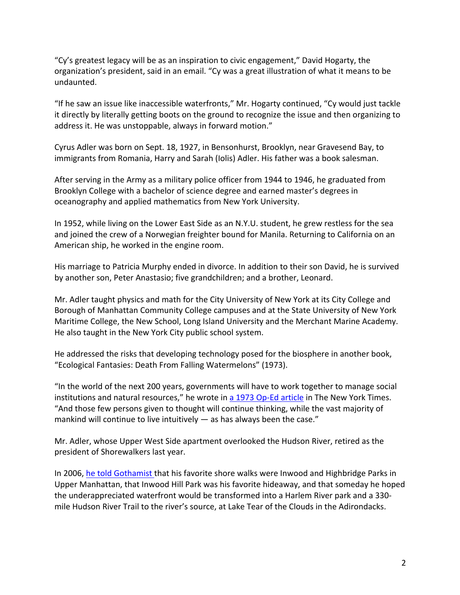"Cy's greatest legacy will be as an inspiration to civic engagement," David Hogarty, the organization's president, said in an email. "Cy was a great illustration of what it means to be undaunted.

"If he saw an issue like inaccessible waterfronts," Mr. Hogarty continued, "Cy would just tackle it directly by literally getting boots on the ground to recognize the issue and then organizing to address it. He was unstoppable, always in forward motion."

Cyrus Adler was born on Sept. 18, 1927, in Bensonhurst, Brooklyn, near Gravesend Bay, to immigrants from Romania, Harry and Sarah (Iolis) Adler. His father was a book salesman.

After serving in the Army as a military police officer from 1944 to 1946, he graduated from Brooklyn College with a bachelor of science degree and earned master's degrees in oceanography and applied mathematics from New York University.

In 1952, while living on the Lower East Side as an N.Y.U. student, he grew restless for the sea and joined the crew of a Norwegian freighter bound for Manila. Returning to California on an American ship, he worked in the engine room.

His marriage to Patricia Murphy ended in divorce. In addition to their son David, he is survived by another son, Peter Anastasio; five grandchildren; and a brother, Leonard.

Mr. Adler taught physics and math for the City University of New York at its City College and Borough of Manhattan Community College campuses and at the State University of New York Maritime College, the New School, Long Island University and the Merchant Marine Academy. He also taught in the New York City public school system.

He addressed the risks that developing technology posed for the biosphere in another book, "Ecological Fantasies: Death From Falling Watermelons" (1973).

"In the world of the next 200 years, governments will have to work together to manage social institutions and natural resources," he wrote in a 1973 Op-Ed article in The New York Times. "And those few persons given to thought will continue thinking, while the vast majority of mankind will continue to live intuitively — as has always been the case."

Mr. Adler, whose Upper West Side apartment overlooked the Hudson River, retired as the president of Shorewalkers last year.

In 2006, he told Gothamist that his favorite shore walks were Inwood and Highbridge Parks in Upper Manhattan, that Inwood Hill Park was his favorite hideaway, and that someday he hoped the underappreciated waterfront would be transformed into a Harlem River park and a 330 mile Hudson River Trail to the river's source, at Lake Tear of the Clouds in the Adirondacks.